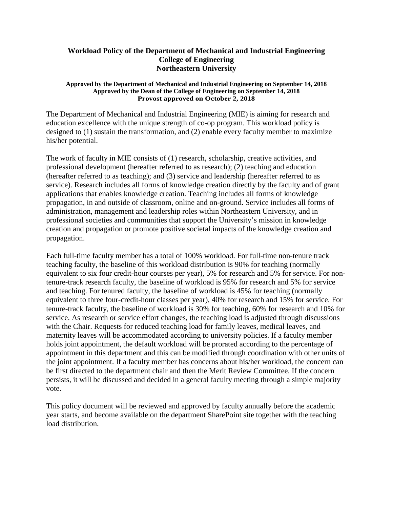## **Workload Policy of the Department of Mechanical and Industrial Engineering College of Engineering Northeastern University**

## **Approved by the Department of Mechanical and Industrial Engineering on September 14, 2018 Approved by the Dean of the College of Engineering on September 14, 2018 Provost approved on October 2, 2018**

The Department of Mechanical and Industrial Engineering (MIE) is aiming for research and education excellence with the unique strength of co-op program. This workload policy is designed to (1) sustain the transformation, and (2) enable every faculty member to maximize his/her potential.

The work of faculty in MIE consists of (1) research, scholarship, creative activities, and professional development (hereafter referred to as research); (2) teaching and education (hereafter referred to as teaching); and (3) service and leadership (hereafter referred to as service). Research includes all forms of knowledge creation directly by the faculty and of grant applications that enables knowledge creation. Teaching includes all forms of knowledge propagation, in and outside of classroom, online and on-ground. Service includes all forms of administration, management and leadership roles within Northeastern University, and in professional societies and communities that support the University's mission in knowledge creation and propagation or promote positive societal impacts of the knowledge creation and propagation.

Each full-time faculty member has a total of 100% workload. For full-time non-tenure track teaching faculty, the baseline of this workload distribution is 90% for teaching (normally equivalent to six four credit-hour courses per year), 5% for research and 5% for service. For nontenure-track research faculty, the baseline of workload is 95% for research and 5% for service and teaching. For tenured faculty, the baseline of workload is 45% for teaching (normally equivalent to three four-credit-hour classes per year), 40% for research and 15% for service. For tenure-track faculty, the baseline of workload is 30% for teaching, 60% for research and 10% for service. As research or service effort changes, the teaching load is adjusted through discussions with the Chair. Requests for reduced teaching load for family leaves, medical leaves, and maternity leaves will be accommodated according to university policies. If a faculty member holds joint appointment, the default workload will be prorated according to the percentage of appointment in this department and this can be modified through coordination with other units of the joint appointment. If a faculty member has concerns about his/her workload, the concern can be first directed to the department chair and then the Merit Review Committee. If the concern persists, it will be discussed and decided in a general faculty meeting through a simple majority vote.

This policy document will be reviewed and approved by faculty annually before the academic year starts, and become available on the department SharePoint site together with the teaching load distribution.